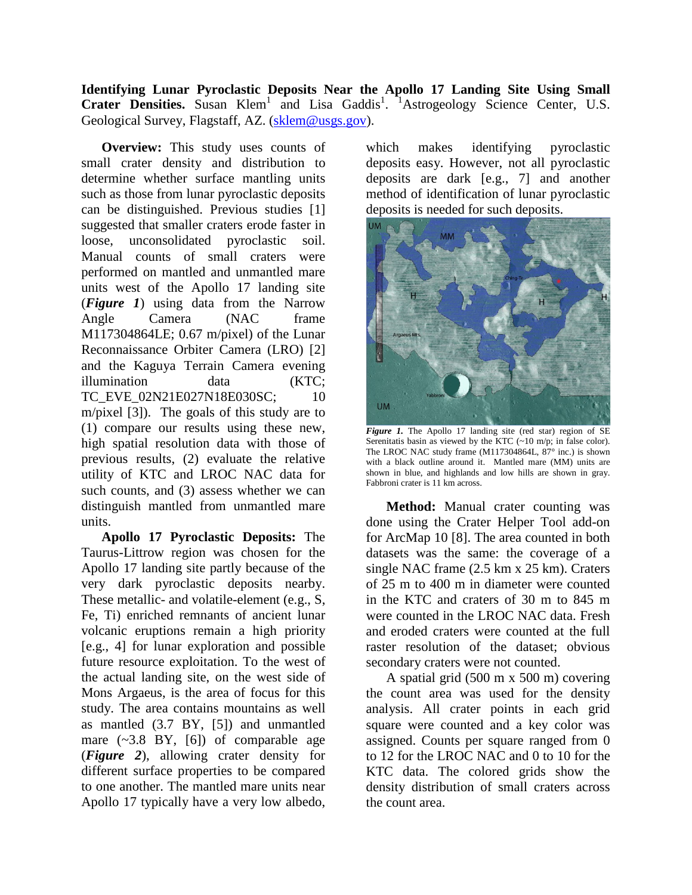**Identifying Lunar Pyroclastic Deposits Near the Apollo 17 Landing Site Using Small**  Crater Densities. Susan Klem<sup>1</sup> and Lisa Gaddis<sup>1</sup>. <sup>1</sup>Astrogeology Science Center, U.S. Geological Survey, Flagstaff, AZ. [\(sklem@usgs.gov\)](mailto:sklem@usgs.gov).

**Overview:** This study uses counts of small crater density and distribution to determine whether surface mantling units such as those from lunar pyroclastic deposits can be distinguished. Previous studies [1] suggested that smaller craters erode faster in loose, unconsolidated pyroclastic soil. Manual counts of small craters were performed on mantled and unmantled mare units west of the Apollo 17 landing site (*Figure 1*) using data from the Narrow Angle Camera (NAC frame M117304864LE; 0.67 m/pixel) of the Lunar Reconnaissance Orbiter Camera (LRO) [2] and the Kaguya Terrain Camera evening illumination data (KTC; TC\_EVE\_02N21E027N18E030SC; 10 m/pixel [3]). The goals of this study are to (1) compare our results using these new, high spatial resolution data with those of previous results, (2) evaluate the relative utility of KTC and LROC NAC data for such counts, and (3) assess whether we can distinguish mantled from unmantled mare units.

**Apollo 17 Pyroclastic Deposits:** The Taurus-Littrow region was chosen for the Apollo 17 landing site partly because of the very dark pyroclastic deposits nearby. These metallic- and volatile-element (e.g., S, Fe, Ti) enriched remnants of ancient lunar volcanic eruptions remain a high priority [e.g., 4] for lunar exploration and possible future resource exploitation. To the west of the actual landing site, on the west side of Mons Argaeus, is the area of focus for this study. The area contains mountains as well as mantled (3.7 BY, [5]) and unmantled mare  $(-3.8 \text{ BY}, [6])$  of comparable age (*Figure 2*), allowing crater density for different surface properties to be compared to one another. The mantled mare units near Apollo 17 typically have a very low albedo,

which makes identifying pyroclastic deposits easy. However, not all pyroclastic deposits are dark [e.g., 7] and another method of identification of lunar pyroclastic deposits is needed for such deposits.



*Figure 1.* The Apollo 17 landing site (red star) region of SE Serenitatis basin as viewed by the KTC (~10 m/p; in false color). The LROC NAC study frame (M117304864L, 87° inc.) is shown with a black outline around it. Mantled mare (MM) units are shown in blue, and highlands and low hills are shown in gray. Fabbroni crater is 11 km across.

**Method:** Manual crater counting was done using the Crater Helper Tool add-on for ArcMap 10 [8]. The area counted in both datasets was the same: the coverage of a single NAC frame (2.5 km x 25 km). Craters of 25 m to 400 m in diameter were counted in the KTC and craters of 30 m to 845 m were counted in the LROC NAC data. Fresh and eroded craters were counted at the full raster resolution of the dataset; obvious secondary craters were not counted.

A spatial grid (500 m x 500 m) covering the count area was used for the density analysis. All crater points in each grid square were counted and a key color was assigned. Counts per square ranged from 0 to 12 for the LROC NAC and 0 to 10 for the KTC data. The colored grids show the density distribution of small craters across the count area.